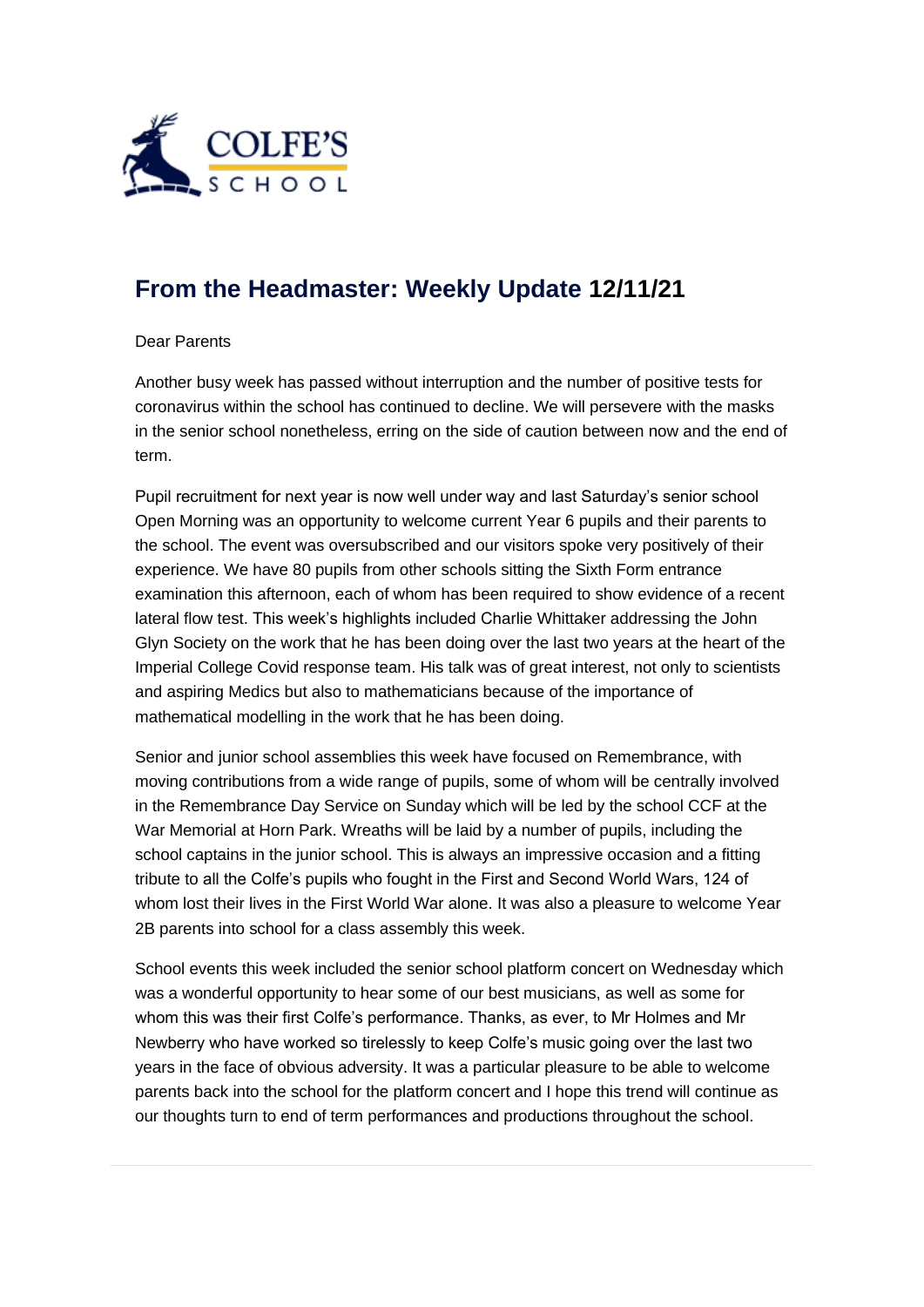

## **[From the Headmaster: Weekly Update](https://urlsand.esvalabs.com/?u=https%3A%2F%2Fschoolpostcdn.blob.core.windows.net%2Fpublic%2F~%2Femail-test-message.html&e=f4e25f66&h=847ca343&f=y&p=y) 12/11/21**

## Dear Parents

Another busy week has passed without interruption and the number of positive tests for coronavirus within the school has continued to decline. We will persevere with the masks in the senior school nonetheless, erring on the side of caution between now and the end of term.

Pupil recruitment for next year is now well under way and last Saturday's senior school Open Morning was an opportunity to welcome current Year 6 pupils and their parents to the school. The event was oversubscribed and our visitors spoke very positively of their experience. We have 80 pupils from other schools sitting the Sixth Form entrance examination this afternoon, each of whom has been required to show evidence of a recent lateral flow test. This week's highlights included Charlie Whittaker addressing the John Glyn Society on the work that he has been doing over the last two years at the heart of the Imperial College Covid response team. His talk was of great interest, not only to scientists and aspiring Medics but also to mathematicians because of the importance of mathematical modelling in the work that he has been doing.

Senior and junior school assemblies this week have focused on Remembrance, with moving contributions from a wide range of pupils, some of whom will be centrally involved in the Remembrance Day Service on Sunday which will be led by the school CCF at the War Memorial at Horn Park. Wreaths will be laid by a number of pupils, including the school captains in the junior school. This is always an impressive occasion and a fitting tribute to all the Colfe's pupils who fought in the First and Second World Wars, 124 of whom lost their lives in the First World War alone. It was also a pleasure to welcome Year 2B parents into school for a class assembly this week.

School events this week included the senior school platform concert on Wednesday which was a wonderful opportunity to hear some of our best musicians, as well as some for whom this was their first Colfe's performance. Thanks, as ever, to Mr Holmes and Mr Newberry who have worked so tirelessly to keep Colfe's music going over the last two years in the face of obvious adversity. It was a particular pleasure to be able to welcome parents back into the school for the platform concert and I hope this trend will continue as our thoughts turn to end of term performances and productions throughout the school.